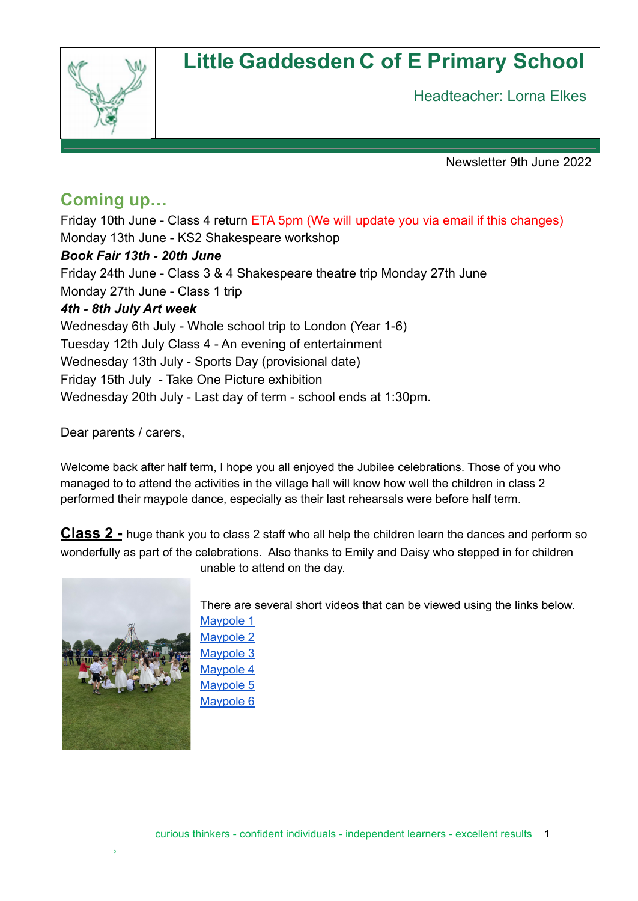# **Little Gaddesden C of E Primary School**



Headteacher: Lorna Elkes

Newsletter 9th June 2022

## **Coming up…**

Friday 10th June - Class 4 return ETA 5pm (We will update you via email if this changes) Monday 13th June - KS2 Shakespeare workshop *Book Fair 13th - 20th June* Friday 24th June - Class 3 & 4 Shakespeare theatre trip Monday 27th June Monday 27th June - Class 1 trip *4th - 8th July Art week* Wednesday 6th July - Whole school trip to London (Year 1-6) Tuesday 12th July Class 4 - An evening of entertainment Wednesday 13th July - Sports Day (provisional date) Friday 15th July - Take One Picture exhibition Wednesday 20th July - Last day of term - school ends at 1:30pm.

Dear parents / carers,

Welcome back after half term, I hope you all enjoyed the Jubilee celebrations. Those of you who managed to to attend the activities in the village hall will know how well the children in class 2 performed their maypole dance, especially as their last rehearsals were before half term.

**Class 2 -** huge thank you to class 2 staff who all help the children learn the dances and perform so wonderfully as part of the celebrations. Also thanks to Emily and Daisy who stepped in for children



unable to attend on the day.

There are several short videos that can be viewed using the links below. [Maypole](https://drive.google.com/file/d/1lwwXGHt-SoKR4LlFmEBlWIW-0asdiHQG/view?usp=sharing) 1 [Maypole](https://drive.google.com/file/d/1lwwXGHt-SoKR4LlFmEBlWIW-0asdiHQG/view?usp=sharing) 2 [Maypole](https://drive.google.com/file/d/1cXPRVqmtKor_dJqSrlsLniPLQEyyTdtJ/view?usp=sharing) 3 [Maypole](https://drive.google.com/file/d/1jvNCmDW3FXspey-Tz5ueL6HKo1nih-YG/view?usp=sharing) 4 [Maypole](https://drive.google.com/file/d/1k4qJf2q_hmPgtNziQCDZUSu1yHKBQyK7/view?usp=sharing) 5 [Maypole](https://drive.google.com/file/d/1fUwASOIbSKe1SVpxTvkTm4S4InAMa1BR/view?usp=sharing) 6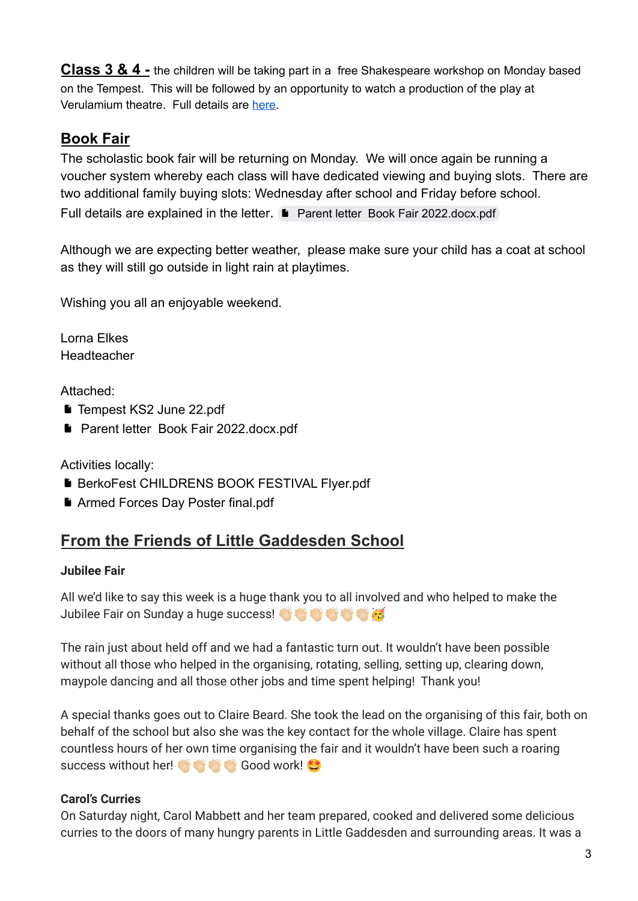**Class 3 & 4 -** the children will be taking part in a free Shakespeare workshop on Monday based on the Tempest. This will be followed by an opportunity to watch a production of the play at Verulamium theatre. Full details are [here.](https://drive.google.com/file/d/1KAIVSSDHvIYvr8cGdVbJ1A9YS3JVl-EW/view?usp=sharing)

### **Book Fair**

The scholastic book fair will be returning on Monday. We will once again be running a voucher system whereby each class will have dedicated viewing and buying slots. There are two additional family buying slots: Wednesday after school and Friday before school. Full details are explained in the letter. Parent letter Book Fair [2022.docx.pdf](https://drive.google.com/file/d/1rp6tnkYETcbL9K6TEeqV4P8G9pk-psoC/view?usp=sharing)

Although we are expecting better weather, please make sure your child has a coat at school as they will still go outside in light rain at playtimes.

Wishing you all an enjoyable weekend.

Lorna Elkes Headteacher

Attached:

- [Tempest KS2 June 22.pdf](https://drive.google.com/file/d/1KAIVSSDHvIYvr8cGdVbJ1A9YS3JVl-EW/view?usp=sharing)
- **Parent letter Book Fair 2022.docx.pdf**

Activities locally:

- **[BerkoFest CHILDRENS BOOK FESTIVAL Flyer.pdf](https://drive.google.com/file/d/1UYKnz9TGKL9dkcjWbXrWWjQgtuPS_tPt/view?usp=sharing)**
- [Armed Forces Day Poster final.pdf](https://drive.google.com/file/d/1LydGWOfhuG3NxD41Ij4p3JE_rDWPuWWp/view?usp=sharing)

# **From the Friends of Little Gaddesden School**

### **Jubilee Fair**

All we'd like to say this week is a huge thank you to all involved and who helped to make the Jubilee Fair on Sunday a huge success! W W W W W G

The rain just about held off and we had a fantastic turn out. It wouldn't have been possible without all those who helped in the organising, rotating, selling, setting up, clearing down, maypole dancing and all those other jobs and time spent helping! Thank you!

A special thanks goes out to Claire Beard. She took the lead on the organising of this fair, both on behalf of the school but also she was the key contact for the whole village. Claire has spent countless hours of her own time organising the fair and it wouldn't have been such a roaring success without her! **WE ANE ANE GOOD WORK!** 

### **Carol's Curries**

On Saturday night, Carol Mabbett and her team prepared, cooked and delivered some delicious curries to the doors of many hungry parents in Little Gaddesden and surrounding areas. It was a